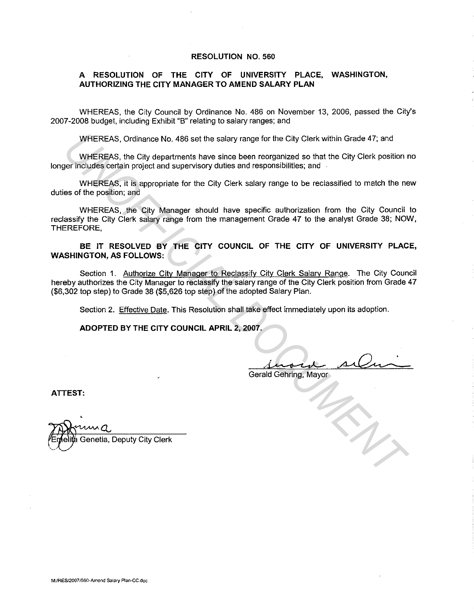## **RESOLUTION NO. 560**

## **A RESOLUTION OF THE CITY OF UNIVERSITY PLACE, WASHINGTON, AUTHORIZING THE CITY MANAGER TO AMEND SALARY PLAN**

WHEREAS, the City Council by Ordinance No. 486 on November 13, 2006, passed the City's 2007-2008 budget, including Exhibit "B" relating to salary ranges; and

WHEREAS, Ordinance No. 486 set the salary range for the City Clerk within Grade 47; and

WHEREAS, the City departments have since been reorganized so that the City Clerk position no longer includes certain project and supervisory duties and responsibilities; and

WHEREAS, it is appropriate for the City Clerk salary range to be reclassified to match the new duties of the position; and

WHEREAS, the City Manager should have specific authorization from the City Council to reclassify the City Clerk salary range from the management Grade 47 to the analyst Grade 38; NOW, THEREFORE,

**BE IT RESOLVED BY THE CITY COUNCIL OF THE CITY OF UNIVERSITY PLACE, WASHINGTON, AS FOLLOWS:** 

Section 1. Authorize City Manager to Reclassify City Clerk Salary Range. The City Council hereby authorizes the City Manager to reclassify the salary range of the City Clerk position from Grade 47 (\$6,302 top step) to Grade 38 (\$5,626 top step) of the adopted Salary Plan. WHEREAS, Ordinance No. 486 set the salary range for the City Clerk within Grade 47; and<br>
UNIEREAS, he City departments have since been recognizates on the City Clerk position<br>
The diversion of the City Clerk salary range f

Section 2. Effective Date. This Resolution shall take effect immediately upon its adoption.

**ADOPTED BY THE CITY COUNCIL APRIL 2, 2007.** 

Gerald Gehring, Mayor

**ATTEST:** 

Genetia, Deputy City Clerk